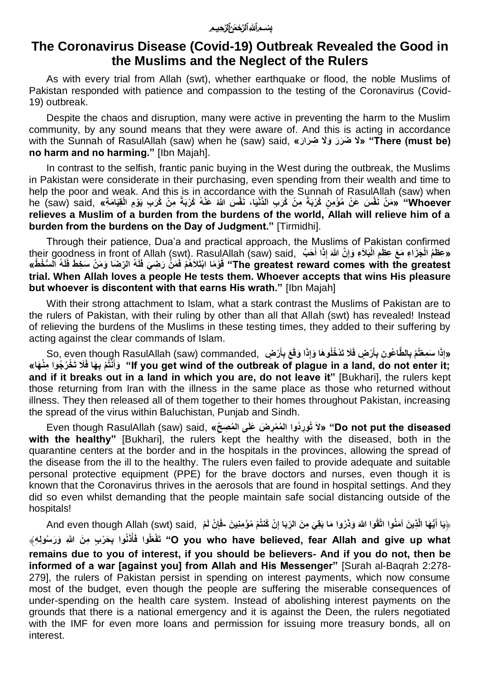## **The Coronavirus Disease (Covid-19) Outbreak Revealed the Good in the Muslims and the Neglect of the Rulers**

As with every trial from Allah (swt), whether earthquake or flood, the noble Muslims of Pakistan responded with patience and compassion to the testing of the Coronavirus (Covid-19) outbreak.

Despite the chaos and disruption, many were active in preventing the harm to the Muslim community, by any sound means that they were aware of. And this is acting in accordance with the Sunnah of RasulAllah (saw) when he (saw) said, **«لَا ضَرَرَ وَلَا ضِرَارَ» "There (must be) no harm and no harming."** [Ibn Majah].

In contrast to the selfish, frantic panic buying in the West during the outbreak, the Muslims in Pakistan were considerate in their purchasing, even spending from their wealth and time to help the poor and weak. And this is in accordance with the Sunnah of RasulAllah (saw) when Whoever" «مَنْ نَفَّسَ عَنْ مُؤْمِنٍ كُرْبَةً مِنْ كُرَبِ اَلدُّنْيَا، نَفَّسَ اللَّهُ عَنْهُ كُرْبَةً مِنْ كُرَبِ يَوْمِ الْقِيَامَةِ» ,he (saw) said **relieves a Muslim of a burden from the burdens of the world, Allah will relieve him of a burden from the burdens on the Day of Judgment."** [Tirmidhi].

Through their patience, Dua'a and practical approach, the Muslims of Pakistan confirmed their goodness in front of Allah (swt). RasulAllah (saw) said, وَظَمُ الْجَزَاءِ مَعَ عِظَمِ الْبَلاَءِ وَإِنَّ اللهَ إِذَا أَحَبَّ ,their goodness in front of Allah (swt). RasulAllah (saw) said **ا ِ** The greatest reward comes with the greatest" قَوْمًا ابْتَلَاهُمْ فَمَنْ رَضِيَ فَلَهُ الرِّضَا وَمَنْ سَخِطَ فَلَهُ ٱلْسُخْطُ» **trial. When Allah loves a people He tests them. Whoever accepts that wins His pleasure but whoever is discontent with that earns His wrath."** [Ibn Majah]

With their strong attachment to Islam, what a stark contrast the Muslims of Pakistan are to the rulers of Pakistan, with their ruling by other than all that Allah (swt) has revealed! Instead of relieving the burdens of the Muslims in these testing times, they added to their suffering by acting against the clear commands of Islam.

«إِذَا سَمِعْتُمْ بِالطَّاعُونِ بِأَرْضٍ فَلَا تَدْخُلُوهَا وَإِذَا وَقَعَ بِأَرْضٍ 'So, even though RasulAllah (saw) commanded **ا ا** 'lf you get wind of the outbreak of plague in a land, do not enter it: ﴿ وَأَنْثُمْ بِهَا فَلَا تَخْرُجُوا مِنْهَا» **and if it breaks out in a land in which you are, do not leave it"** [Bukhari], the rulers kept those returning from Iran with the illness in the same place as those who returned without illness. They then released all of them together to their homes throughout Pakistan, increasing the spread of the virus within Baluchistan, Punjab and Sindh.

 **diseased the put not Do« "َلا تُوِر ُدوا ال ُم ْمِر اض اعلاى ال ُم ِص حِ«** ,said) saw (RasulAllah though Even with the healthy" [Bukhari], the rulers kept the healthy with the diseased, both in the quarantine centers at the border and in the hospitals in the provinces, allowing the spread of the disease from the ill to the healthy. The rulers even failed to provide adequate and suitable personal protective equipment (PPE) for the brave doctors and nurses, even though it is known that the Coronavirus thrives in the aerosols that are found in hospital settings. And they did so even whilst demanding that the people maintain safe social distancing outside of the hospitals!

هِيَا أَيُّهَا الَّذِينَ آمَنُوا اتَّقُوا اللَّهَ وَذَرُوا مَا بَقِيَ مِنَ الرِّبَا إِنْ كُنْتُمْ مُؤْمِنِينَ -فَإِنْ لَمْ 'And even though Allah (swt) said, فَإِنْ اتَّبَهَا الَّذِينَ آمَنُوا اتَّقُوا اللَّهَ وَذَرُو **ِ ا** O you who have believed, fear Allah and give up what" تَفْعَلُوا فَأَذْنُوا بِحَرْبٍ مِنَ اللَّهِ وَرَسُولِهِ﴾ **ْ اremains due to you of interest, if you should be believers- And if you do not, then be informed of a war [against you] from Allah and His Messenger"** [Surah al-Baqrah 2:278- 279], the rulers of Pakistan persist in spending on interest payments, which now consume most of the budget, even though the people are suffering the miserable consequences of under-spending on the health care system. Instead of abolishing interest payments on the grounds that there is a national emergency and it is against the Deen, the rulers negotiated with the IMF for even more loans and permission for issuing more treasury bonds, all on interest.